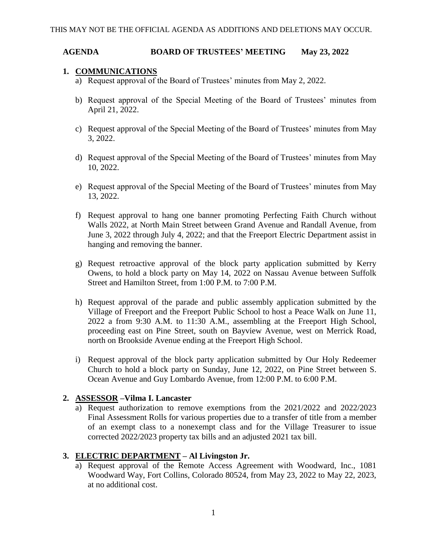#### **AGENDA BOARD OF TRUSTEES' MEETING May 23, 2022**

#### **1. COMMUNICATIONS**

- a) Request approval of the Board of Trustees' minutes from May 2, 2022.
- b) Request approval of the Special Meeting of the Board of Trustees' minutes from April 21, 2022.
- c) Request approval of the Special Meeting of the Board of Trustees' minutes from May 3, 2022.
- d) Request approval of the Special Meeting of the Board of Trustees' minutes from May 10, 2022.
- e) Request approval of the Special Meeting of the Board of Trustees' minutes from May 13, 2022.
- f) Request approval to hang one banner promoting Perfecting Faith Church without Walls 2022, at North Main Street between Grand Avenue and Randall Avenue, from June 3, 2022 through July 4, 2022; and that the Freeport Electric Department assist in hanging and removing the banner.
- g) Request retroactive approval of the block party application submitted by Kerry Owens, to hold a block party on May 14, 2022 on Nassau Avenue between Suffolk Street and Hamilton Street, from 1:00 P.M. to 7:00 P.M.
- h) Request approval of the parade and public assembly application submitted by the Village of Freeport and the Freeport Public School to host a Peace Walk on June 11, 2022 a from 9:30 A.M. to 11:30 A.M., assembling at the Freeport High School, proceeding east on Pine Street, south on Bayview Avenue, west on Merrick Road, north on Brookside Avenue ending at the Freeport High School.
- i) Request approval of the block party application submitted by Our Holy Redeemer Church to hold a block party on Sunday, June 12, 2022, on Pine Street between S. Ocean Avenue and Guy Lombardo Avenue, from 12:00 P.M. to 6:00 P.M.

# **2. ASSESSOR –Vilma I. Lancaster**

a) Request authorization to remove exemptions from the 2021/2022 and 2022/2023 Final Assessment Rolls for various properties due to a transfer of title from a member of an exempt class to a nonexempt class and for the Village Treasurer to issue corrected 2022/2023 property tax bills and an adjusted 2021 tax bill.

# **3. ELECTRIC DEPARTMENT – Al Livingston Jr.**

a) Request approval of the Remote Access Agreement with Woodward, Inc., 1081 Woodward Way, Fort Collins, Colorado 80524, from May 23, 2022 to May 22, 2023, at no additional cost.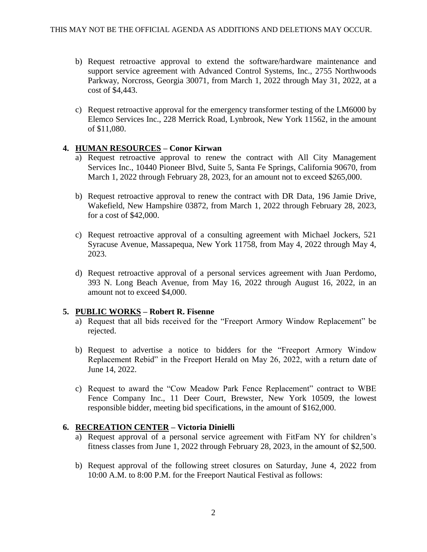- b) Request retroactive approval to extend the software/hardware maintenance and support service agreement with Advanced Control Systems, Inc., 2755 Northwoods Parkway, Norcross, Georgia 30071, from March 1, 2022 through May 31, 2022, at a cost of \$4,443.
- c) Request retroactive approval for the emergency transformer testing of the LM6000 by Elemco Services Inc., 228 Merrick Road, Lynbrook, New York 11562, in the amount of \$11,080.

# **4. HUMAN RESOURCES – Conor Kirwan**

- a) Request retroactive approval to renew the contract with All City Management Services Inc., 10440 Pioneer Blvd, Suite 5, Santa Fe Springs, California 90670, from March 1, 2022 through February 28, 2023, for an amount not to exceed \$265,000.
- b) Request retroactive approval to renew the contract with DR Data, 196 Jamie Drive, Wakefield, New Hampshire 03872, from March 1, 2022 through February 28, 2023, for a cost of \$42,000.
- c) Request retroactive approval of a consulting agreement with Michael Jockers, 521 Syracuse Avenue, Massapequa, New York 11758, from May 4, 2022 through May 4, 2023.
- d) Request retroactive approval of a personal services agreement with Juan Perdomo, 393 N. Long Beach Avenue, from May 16, 2022 through August 16, 2022, in an amount not to exceed \$4,000.

#### **5. PUBLIC WORKS – Robert R. Fisenne**

- a) Request that all bids received for the "Freeport Armory Window Replacement" be rejected.
- b) Request to advertise a notice to bidders for the "Freeport Armory Window Replacement Rebid" in the Freeport Herald on May 26, 2022, with a return date of June 14, 2022.
- c) Request to award the "Cow Meadow Park Fence Replacement" contract to WBE Fence Company Inc., 11 Deer Court, Brewster, New York 10509, the lowest responsible bidder, meeting bid specifications, in the amount of \$162,000.

# **6. RECREATION CENTER – Victoria Dinielli**

- a) Request approval of a personal service agreement with FitFam NY for children's fitness classes from June 1, 2022 through February 28, 2023, in the amount of \$2,500.
- b) Request approval of the following street closures on Saturday, June 4, 2022 from 10:00 A.M. to 8:00 P.M. for the Freeport Nautical Festival as follows: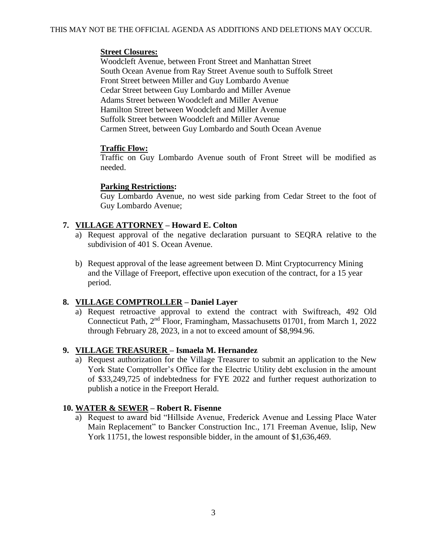#### **Street Closures:**

Woodcleft Avenue, between Front Street and Manhattan Street South Ocean Avenue from Ray Street Avenue south to Suffolk Street Front Street between Miller and Guy Lombardo Avenue Cedar Street between Guy Lombardo and Miller Avenue Adams Street between Woodcleft and Miller Avenue Hamilton Street between Woodcleft and Miller Avenue Suffolk Street between Woodcleft and Miller Avenue Carmen Street, between Guy Lombardo and South Ocean Avenue

# **Traffic Flow:**

Traffic on Guy Lombardo Avenue south of Front Street will be modified as needed.

#### **Parking Restrictions:**

Guy Lombardo Avenue, no west side parking from Cedar Street to the foot of Guy Lombardo Avenue;

# **7. VILLAGE ATTORNEY – Howard E. Colton**

- a) Request approval of the negative declaration pursuant to SEQRA relative to the subdivision of 401 S. Ocean Avenue.
- b) Request approval of the lease agreement between D. Mint Cryptocurrency Mining and the Village of Freeport, effective upon execution of the contract, for a 15 year period.

# **8. VILLAGE COMPTROLLER – Daniel Layer**

a) Request retroactive approval to extend the contract with Swiftreach, 492 Old Connecticut Path, 2nd Floor, Framingham, Massachusetts 01701, from March 1, 2022 through February 28, 2023, in a not to exceed amount of \$8,994.96.

# **9. VILLAGE TREASURER – Ismaela M. Hernandez**

a) Request authorization for the Village Treasurer to submit an application to the New York State Comptroller's Office for the Electric Utility debt exclusion in the amount of \$33,249,725 of indebtedness for FYE 2022 and further request authorization to publish a notice in the Freeport Herald.

# **10. WATER & SEWER – Robert R. Fisenne**

a) Request to award bid "Hillside Avenue, Frederick Avenue and Lessing Place Water Main Replacement" to Bancker Construction Inc., 171 Freeman Avenue, Islip, New York 11751, the lowest responsible bidder, in the amount of \$1,636,469.